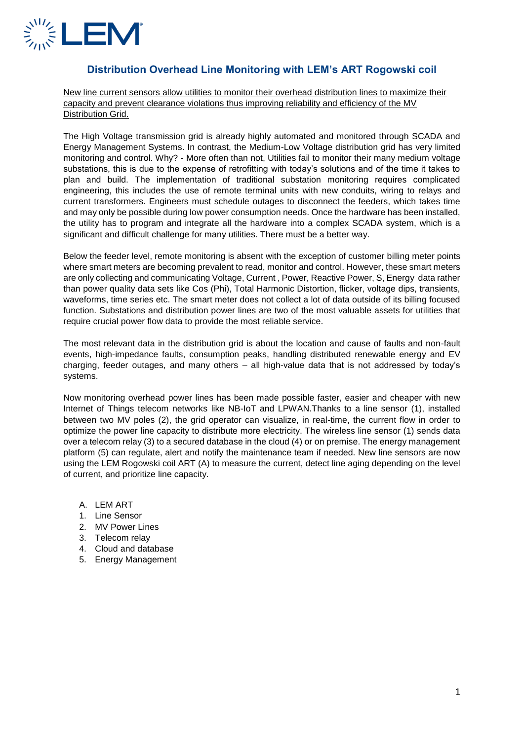

# **Distribution Overhead Line Monitoring with LEM's ART Rogowski coil**

New line current sensors allow utilities to monitor their overhead distribution lines to maximize their capacity and prevent clearance violations thus improving reliability and efficiency of the MV Distribution Grid.

The High Voltage transmission grid is already highly automated and monitored through SCADA and Energy Management Systems. In contrast, the Medium-Low Voltage distribution grid has very limited monitoring and control. Why? - More often than not, Utilities fail to monitor their many medium voltage substations, this is due to the expense of retrofitting with today's solutions and of the time it takes to plan and build. The implementation of traditional substation monitoring requires complicated engineering, this includes the use of remote terminal units with new conduits, wiring to relays and current transformers. Engineers must schedule outages to disconnect the feeders, which takes time and may only be possible during low power consumption needs. Once the hardware has been installed, the utility has to program and integrate all the hardware into a complex SCADA system, which is a significant and difficult challenge for many utilities. There must be a better way.

Below the feeder level, remote monitoring is absent with the exception of customer billing meter points where smart meters are becoming prevalent to read, monitor and control. However, these smart meters are only collecting and communicating Voltage, Current , Power, Reactive Power, S, Energy data rather than power quality data sets like Cos (Phi), Total Harmonic Distortion, flicker, voltage dips, transients, waveforms, time series etc. The smart meter does not collect a lot of data outside of its billing focused function. Substations and distribution power lines are two of the most valuable assets for utilities that require crucial power flow data to provide the most reliable service.

The most relevant data in the distribution grid is about the location and cause of faults and non-fault events, high-impedance faults, consumption peaks, handling distributed renewable energy and EV charging, feeder outages, and many others – all high-value data that is not addressed by today's systems.

Now monitoring overhead power lines has been made possible faster, easier and cheaper with new Internet of Things telecom networks like NB-IoT and LPWAN.Thanks to a line sensor (1), installed between two MV poles (2), the grid operator can visualize, in real-time, the current flow in order to optimize the power line capacity to distribute more electricity. The wireless line sensor (1) sends data over a telecom relay (3) to a secured database in the cloud (4) or on premise. The energy management platform (5) can regulate, alert and notify the maintenance team if needed. New line sensors are now using the LEM Rogowski coil ART (A) to measure the current, detect line aging depending on the level of current, and prioritize line capacity.

- A. LEM ART
- 1. Line Sensor
- 2. MV Power Lines
- 3. Telecom relay
- 4. Cloud and database
- 5. Energy Management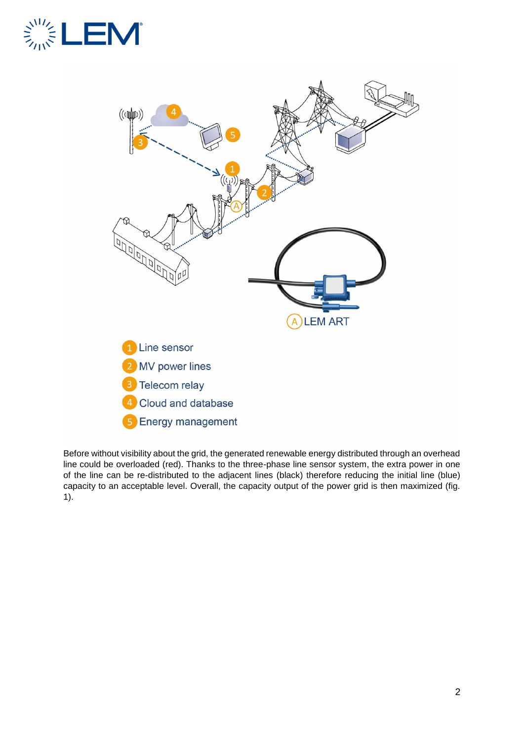



Before without visibility about the grid, the generated renewable energy distributed through an overhead line could be overloaded (red). Thanks to the three-phase line sensor system, the extra power in one of the line can be re-distributed to the adjacent lines (black) therefore reducing the initial line (blue) capacity to an acceptable level. Overall, the capacity output of the power grid is then maximized (fig. 1).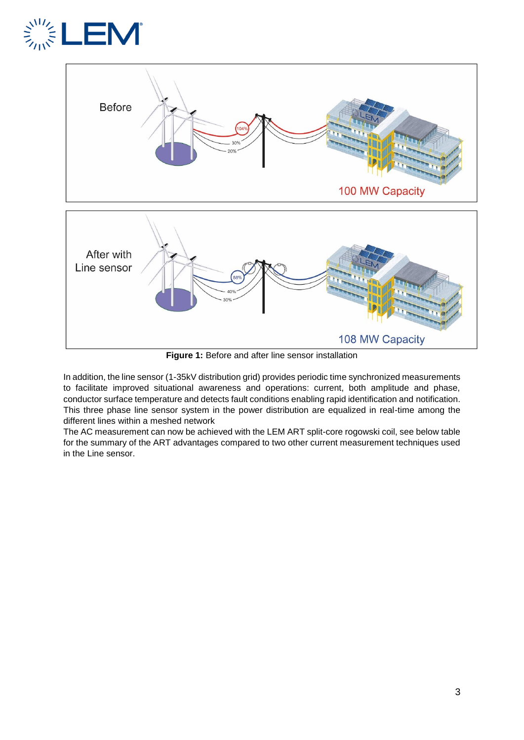



**Figure 1:** Before and after line sensor installation

In addition, the line sensor (1-35kV distribution grid) provides periodic time synchronized measurements to facilitate improved situational awareness and operations: current, both amplitude and phase, conductor surface temperature and detects fault conditions enabling rapid identification and notification. This three phase line sensor system in the power distribution are equalized in real-time among the different lines within a meshed network

The AC measurement can now be achieved with the LEM ART split-core rogowski coil, see below table for the summary of the ART advantages compared to two other current measurement techniques used in the Line sensor.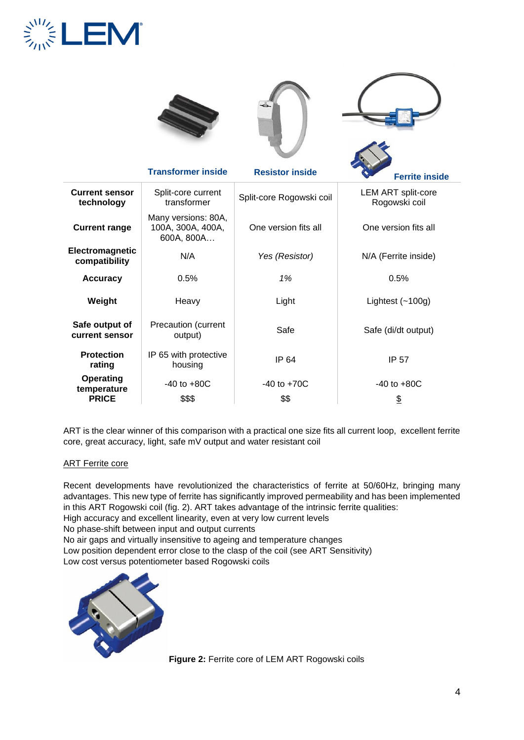

|                                     |                                                        | گ                        |                                            |
|-------------------------------------|--------------------------------------------------------|--------------------------|--------------------------------------------|
|                                     | <b>Transformer inside</b>                              | <b>Resistor inside</b>   | <b>Ferrite inside</b>                      |
| <b>Current sensor</b><br>technology | Split-core current<br>transformer                      | Split-core Rogowski coil | <b>LEM ART split-core</b><br>Rogowski coil |
| <b>Current range</b>                | Many versions: 80A,<br>100A, 300A, 400A,<br>600A, 800A | One version fits all     | One version fits all                       |
| Electromagnetic<br>compatibility    | N/A                                                    | Yes (Resistor)           | N/A (Ferrite inside)                       |
| <b>Accuracy</b>                     | 0.5%                                                   | 1%                       | 0.5%                                       |
| Weight                              | Heavy                                                  | Light                    | Lightest $(-100g)$                         |
| Safe output of<br>current sensor    | Precaution (current<br>output)                         | Safe                     | Safe (di/dt output)                        |
| <b>Protection</b><br>rating         | IP 65 with protective<br>housing                       | <b>IP 64</b>             | IP 57                                      |
| <b>Operating</b><br>temperature     | $-40$ to $+80C$                                        | $-40$ to $+70C$          | $-40$ to $+80C$                            |
| <b>PRICE</b>                        | \$\$\$                                                 | \$\$                     | \$                                         |

ART is the clear winner of this comparison with a practical one size fits all current loop, excellent ferrite core, great accuracy, light, safe mV output and water resistant coil

# ART Ferrite core

Recent developments have revolutionized the characteristics of ferrite at 50/60Hz, bringing many advantages. This new type of ferrite has significantly improved permeability and has been implemented in this ART Rogowski coil (fig. 2). ART takes advantage of the intrinsic ferrite qualities:

High accuracy and excellent linearity, even at very low current levels

No phase-shift between input and output currents

No air gaps and virtually insensitive to ageing and temperature changes

Low position dependent error close to the clasp of the coil (see ART Sensitivity)

Low cost versus potentiometer based Rogowski coils



**Figure 2:** Ferrite core of LEM ART Rogowski coils